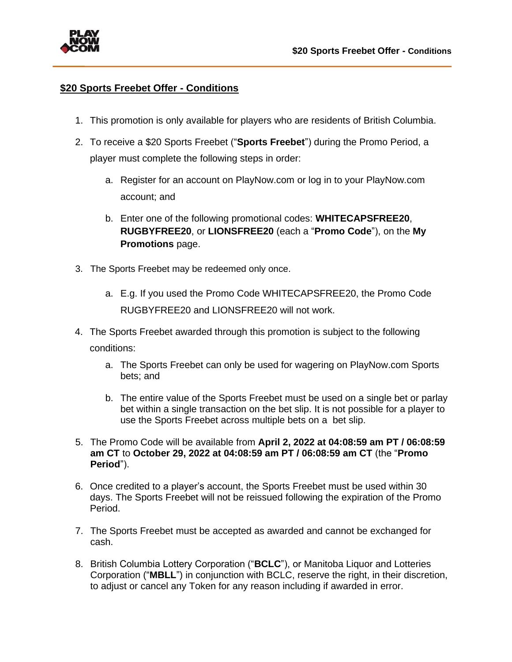

## **\$20 Sports Freebet Offer - Conditions**

- 1. This promotion is only available for players who are residents of British Columbia.
- 2. To receive a \$20 Sports Freebet ("**Sports Freebet**") during the Promo Period, a player must complete the following steps in order:
	- a. Register for an account on PlayNow.com or log in to your PlayNow.com account; and
	- b. Enter one of the following promotional codes: **WHITECAPSFREE20**, **RUGBYFREE20**, or **LIONSFREE20** (each a "**Promo Code**"), on the **My Promotions** page.
- 3. The Sports Freebet may be redeemed only once.
	- a. E.g. If you used the Promo Code WHITECAPSFREE20, the Promo Code RUGBYFREE20 and LIONSFREE20 will not work.
- 4. The Sports Freebet awarded through this promotion is subject to the following conditions:
	- a. The Sports Freebet can only be used for wagering on PlayNow.com Sports bets; and
	- b. The entire value of the Sports Freebet must be used on a single bet or parlay bet within a single transaction on the bet slip. It is not possible for a player to use the Sports Freebet across multiple bets on a bet slip.
- 5. The Promo Code will be available from **April 2, 2022 at 04:08:59 am PT / 06:08:59 am CT** to **October 29, 2022 at 04:08:59 am PT / 06:08:59 am CT** (the "**Promo Period**").
- 6. Once credited to a player's account, the Sports Freebet must be used within 30 days. The Sports Freebet will not be reissued following the expiration of the Promo Period.
- 7. The Sports Freebet must be accepted as awarded and cannot be exchanged for cash.
- 8. British Columbia Lottery Corporation ("**BCLC**"), or Manitoba Liquor and Lotteries Corporation ("**MBLL**") in conjunction with BCLC, reserve the right, in their discretion, to adjust or cancel any Token for any reason including if awarded in error.